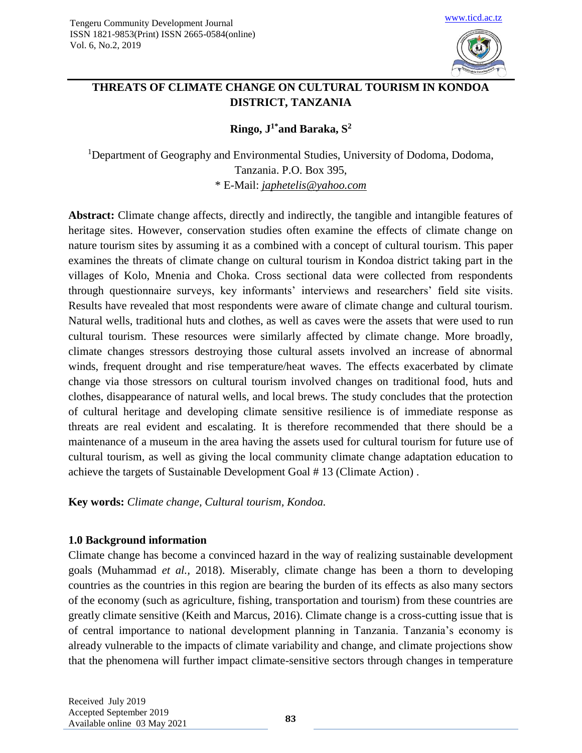

# **THREATS OF CLIMATE CHANGE ON CULTURAL TOURISM IN KONDOA DISTRICT, TANZANIA**

**Ringo, J1\*and Baraka, S<sup>2</sup>**

<sup>1</sup>Department of Geography and Environmental Studies, University of Dodoma, Dodoma, Tanzania. P.O. Box 395, \* E-Mail: *[japhetelis@yahoo.com](mailto:japhetelis@yahoo.com)*

**Abstract:** Climate change affects, directly and indirectly, the tangible and intangible features of heritage sites. However, conservation studies often examine the effects of climate change on nature tourism sites by assuming it as a combined with a concept of cultural tourism. This paper examines the threats of climate change on cultural tourism in Kondoa district taking part in the villages of Kolo, Mnenia and Choka. Cross sectional data were collected from respondents through questionnaire surveys, key informants' interviews and researchers' field site visits. Results have revealed that most respondents were aware of climate change and cultural tourism. Natural wells, traditional huts and clothes, as well as caves were the assets that were used to run cultural tourism. These resources were similarly affected by climate change. More broadly, climate changes stressors destroying those cultural assets involved an increase of abnormal winds, frequent drought and rise temperature/heat waves. The effects exacerbated by climate change via those stressors on cultural tourism involved changes on traditional food, huts and clothes, disappearance of natural wells, and local brews. The study concludes that the protection of cultural heritage and developing climate sensitive resilience is of immediate response as threats are real evident and escalating. It is therefore recommended that there should be a maintenance of a museum in the area having the assets used for cultural tourism for future use of cultural tourism, as well as giving the local community climate change adaptation education to achieve the targets of Sustainable Development Goal # 13 (Climate Action) .

**Key words:** *Climate change, Cultural tourism, Kondoa.*

## **1.0 Background information**

Climate change has become a convinced hazard in the way of realizing sustainable development goals (Muhammad *et al.,* 2018). Miserably, climate change has been a thorn to developing countries as the countries in this region are bearing the burden of its effects as also many sectors of the economy (such as agriculture, fishing, transportation and tourism) from these countries are greatly climate sensitive (Keith and Marcus, 2016). Climate change is a cross-cutting issue that is of central importance to national development planning in Tanzania. Tanzania's economy is already vulnerable to the impacts of climate variability and change, and climate projections show that the phenomena will further impact climate-sensitive sectors through changes in temperature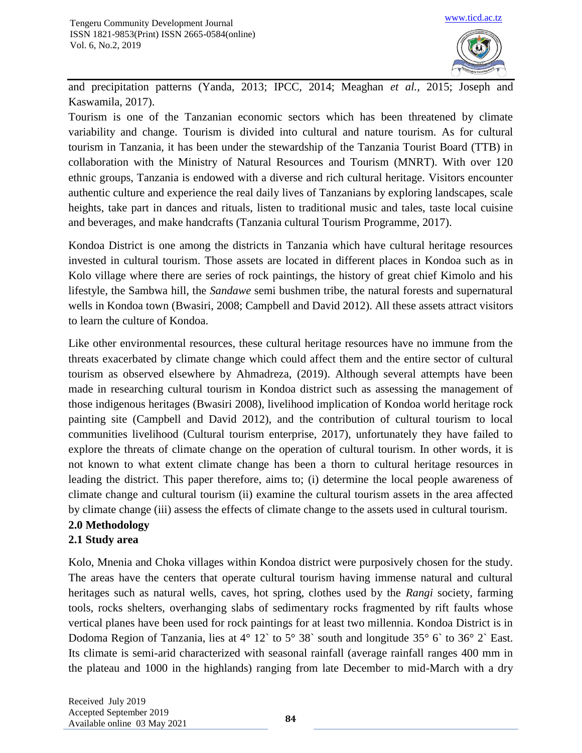

and precipitation patterns (Yanda, 2013; IPCC, 2014; Meaghan *et al.,* 2015; Joseph and Kaswamila, 2017).

Tourism is one of the Tanzanian economic sectors which has been threatened by climate variability and change. Tourism is divided into cultural and nature tourism. As for cultural tourism in Tanzania, it has been under the stewardship of the Tanzania Tourist Board (TTB) in collaboration with the Ministry of Natural Resources and Tourism (MNRT). With over 120 ethnic groups, Tanzania is endowed with a diverse and rich cultural heritage. Visitors encounter authentic culture and experience the real daily lives of Tanzanians by exploring landscapes, scale heights, take part in dances and rituals, listen to traditional music and tales, taste local cuisine and beverages, and make handcrafts (Tanzania cultural Tourism Programme, 2017).

Kondoa District is one among the districts in Tanzania which have cultural heritage resources invested in cultural tourism. Those assets are located in different places in Kondoa such as in Kolo village where there are series of rock paintings, the history of great chief Kimolo and his lifestyle, the Sambwa hill, the *Sandawe* semi bushmen tribe, the natural forests and supernatural wells in Kondoa town (Bwasiri, 2008; Campbell and David 2012). All these assets attract visitors to learn the culture of Kondoa.

Like other environmental resources, these cultural heritage resources have no immune from the threats exacerbated by climate change which could affect them and the entire sector of cultural tourism as observed elsewhere by Ahmadreza, (2019). Although several attempts have been made in researching cultural tourism in Kondoa district such as assessing the management of those indigenous heritages (Bwasiri 2008), livelihood implication of Kondoa world heritage rock painting site (Campbell and David 2012), and the contribution of cultural tourism to local communities livelihood (Cultural tourism enterprise, 2017), unfortunately they have failed to explore the threats of climate change on the operation of cultural tourism. In other words, it is not known to what extent climate change has been a thorn to cultural heritage resources in leading the district. This paper therefore, aims to; (i) determine the local people awareness of climate change and cultural tourism (ii) examine the cultural tourism assets in the area affected by climate change (iii) assess the effects of climate change to the assets used in cultural tourism.

## **2.0 Methodology**

## **2.1 Study area**

Kolo, Mnenia and Choka villages within Kondoa district were purposively chosen for the study. The areas have the centers that operate cultural tourism having immense natural and cultural heritages such as natural wells, caves, hot spring, clothes used by the *Rangi* society, farming tools, rocks shelters, overhanging slabs of sedimentary rocks fragmented by rift faults whose vertical planes have been used for rock paintings for at least two millennia. Kondoa District is in Dodoma Region of Tanzania, lies at 4° 12` to 5° 38` south and longitude 35° 6` to 36° 2` East. Its climate is semi-arid characterized with seasonal rainfall (average rainfall ranges 400 mm in the plateau and 1000 in the highlands) ranging from late December to mid-March with a dry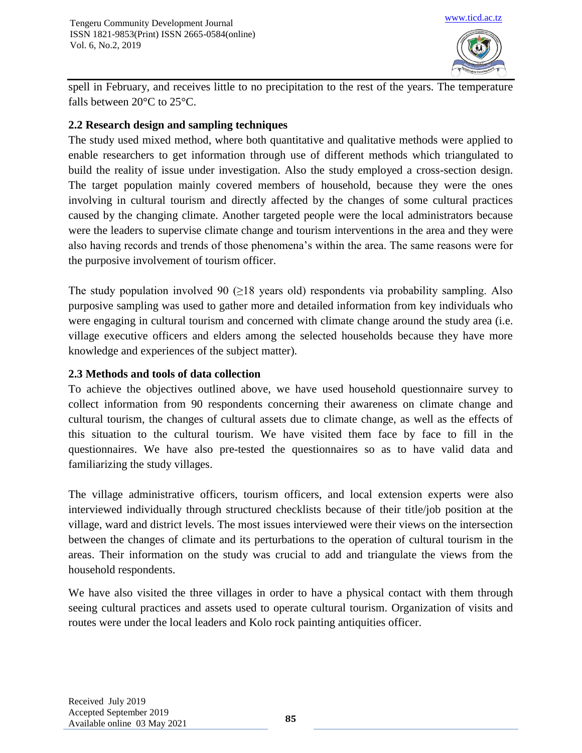

spell in February, and receives little to no precipitation to the rest of the years. The temperature falls between 20°C to 25°C.

## **2.2 Research design and sampling techniques**

The study used mixed method, where both quantitative and qualitative methods were applied to enable researchers to get information through use of different methods which triangulated to build the reality of issue under investigation. Also the study employed a cross-section design. The target population mainly covered members of household, because they were the ones involving in cultural tourism and directly affected by the changes of some cultural practices caused by the changing climate. Another targeted people were the local administrators because were the leaders to supervise climate change and tourism interventions in the area and they were also having records and trends of those phenomena's within the area. The same reasons were for the purposive involvement of tourism officer.

The study population involved 90 ( $\geq$ 18 years old) respondents via probability sampling. Also purposive sampling was used to gather more and detailed information from key individuals who were engaging in cultural tourism and concerned with climate change around the study area (i.e. village executive officers and elders among the selected households because they have more knowledge and experiences of the subject matter).

## **2.3 Methods and tools of data collection**

To achieve the objectives outlined above, we have used household questionnaire survey to collect information from 90 respondents concerning their awareness on climate change and cultural tourism, the changes of cultural assets due to climate change, as well as the effects of this situation to the cultural tourism. We have visited them face by face to fill in the questionnaires. We have also pre-tested the questionnaires so as to have valid data and familiarizing the study villages.

The village administrative officers, tourism officers, and local extension experts were also interviewed individually through structured checklists because of their title/job position at the village, ward and district levels. The most issues interviewed were their views on the intersection between the changes of climate and its perturbations to the operation of cultural tourism in the areas. Their information on the study was crucial to add and triangulate the views from the household respondents.

We have also visited the three villages in order to have a physical contact with them through seeing cultural practices and assets used to operate cultural tourism. Organization of visits and routes were under the local leaders and Kolo rock painting antiquities officer.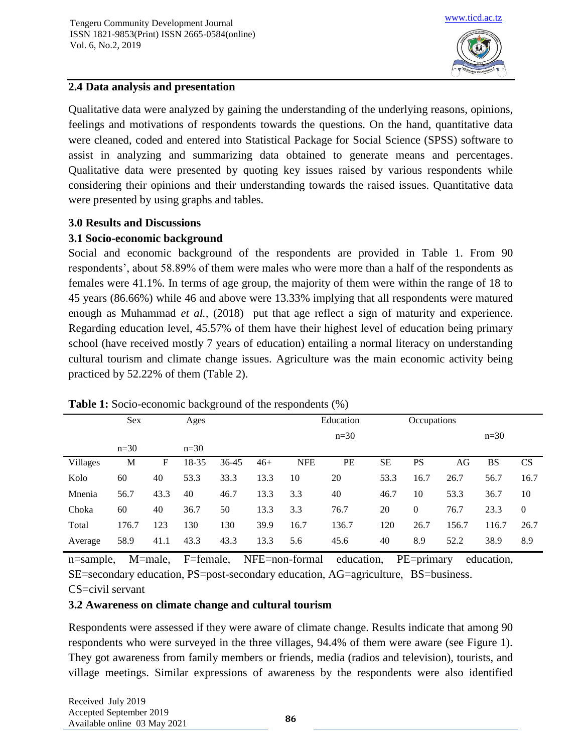

## **2.4 Data analysis and presentation**

Qualitative data were analyzed by gaining the understanding of the underlying reasons, opinions, feelings and motivations of respondents towards the questions. On the hand, quantitative data were cleaned, coded and entered into Statistical Package for Social Science (SPSS) software to assist in analyzing and summarizing data obtained to generate means and percentages. Qualitative data were presented by quoting key issues raised by various respondents while considering their opinions and their understanding towards the raised issues. Quantitative data were presented by using graphs and tables.

#### **3.0 Results and Discussions**

## **3.1 Socio-economic background**

Social and economic background of the respondents are provided in Table 1. From 90 respondents', about 58.89% of them were males who were more than a half of the respondents as females were 41.1%. In terms of age group, the majority of them were within the range of 18 to 45 years (86.66%) while 46 and above were 13.33% implying that all respondents were matured enough as Muhammad *et al.*, (2018) put that age reflect a sign of maturity and experience. Regarding education level, 45.57% of them have their highest level of education being primary school (have received mostly 7 years of education) entailing a normal literacy on understanding cultural tourism and climate change issues. Agriculture was the main economic activity being practiced by 52.22% of them (Table 2).

|                 | Sex    |      | Ages   |       |       |            | Education |           | Occupations |       |           |                |
|-----------------|--------|------|--------|-------|-------|------------|-----------|-----------|-------------|-------|-----------|----------------|
|                 |        |      |        |       |       |            | $n=30$    |           |             |       | $n=30$    |                |
|                 | $n=30$ |      | $n=30$ |       |       |            |           |           |             |       |           |                |
| <b>Villages</b> | М      | F    | 18-35  | 36-45 | $46+$ | <b>NFE</b> | PE        | <b>SE</b> | <b>PS</b>   | AG    | <b>BS</b> | <b>CS</b>      |
| Kolo            | 60     | 40   | 53.3   | 33.3  | 13.3  | 10         | 20        | 53.3      | 16.7        | 26.7  | 56.7      | 16.7           |
| Mnenia          | 56.7   | 43.3 | 40     | 46.7  | 13.3  | 3.3        | 40        | 46.7      | 10          | 53.3  | 36.7      | 10             |
| Choka           | 60     | 40   | 36.7   | 50    | 13.3  | 3.3        | 76.7      | 20        | $\theta$    | 76.7  | 23.3      | $\overline{0}$ |
| Total           | 176.7  | 123  | 130    | 130   | 39.9  | 16.7       | 136.7     | 120       | 26.7        | 156.7 | 116.7     | 26.7           |
| Average         | 58.9   | 41.1 | 43.3   | 43.3  | 13.3  | 5.6        | 45.6      | 40        | 8.9         | 52.2  | 38.9      | 8.9            |

#### **Table 1:** Socio-economic background of the respondents (%)

n=sample, M=male, F=female, NFE=non-formal education, PE=primary education, SE=secondary education, PS=post-secondary education, AG=agriculture, BS=business.

#### CS=civil servant

## **3.2 Awareness on climate change and cultural tourism**

Respondents were assessed if they were aware of climate change. Results indicate that among 90 respondents who were surveyed in the three villages, 94.4% of them were aware (see Figure 1). They got awareness from family members or friends, media (radios and television), tourists, and village meetings. Similar expressions of awareness by the respondents were also identified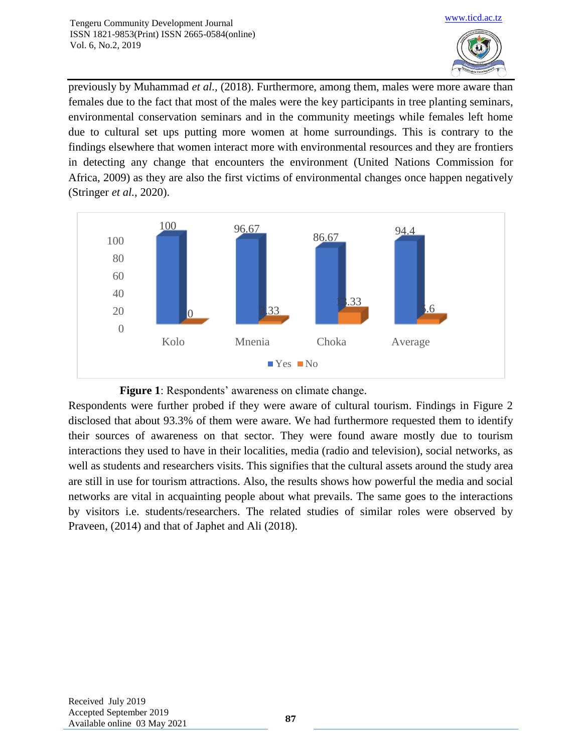

previously by Muhammad *et al.,* (2018). Furthermore, among them, males were more aware than females due to the fact that most of the males were the key participants in tree planting seminars, environmental conservation seminars and in the community meetings while females left home due to cultural set ups putting more women at home surroundings. This is contrary to the findings elsewhere that women interact more with environmental resources and they are frontiers in detecting any change that encounters the environment (United Nations Commission for Africa, 2009) as they are also the first victims of environmental changes once happen negatively (Stringer *et al.,* 2020).





Respondents were further probed if they were aware of cultural tourism. Findings in Figure 2 disclosed that about 93.3% of them were aware. We had furthermore requested them to identify their sources of awareness on that sector. They were found aware mostly due to tourism interactions they used to have in their localities, media (radio and television), social networks, as well as students and researchers visits. This signifies that the cultural assets around the study area are still in use for tourism attractions. Also, the results shows how powerful the media and social networks are vital in acquainting people about what prevails. The same goes to the interactions by visitors i.e. students/researchers. The related studies of similar roles were observed by Praveen, (2014) and that of Japhet and Ali (2018).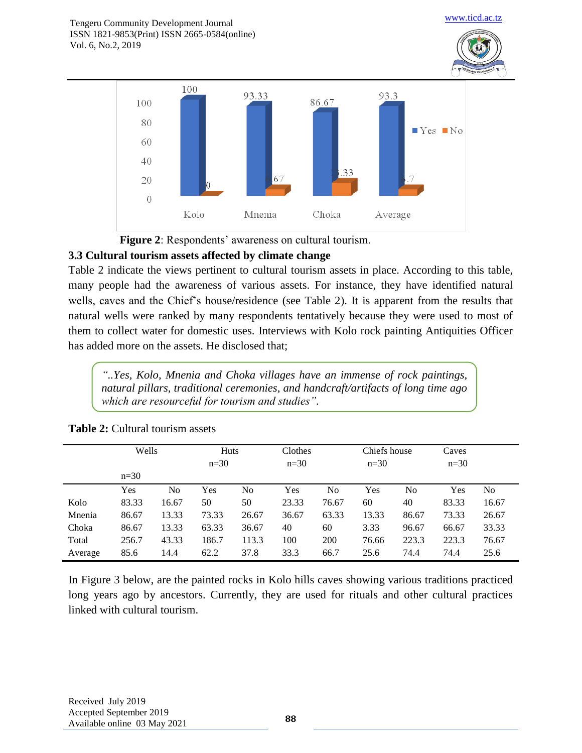

 **Figure 2**: Respondents' awareness on cultural tourism.

## **3.3 Cultural tourism assets affected by climate change**

Table 2 indicate the views pertinent to cultural tourism assets in place. According to this table, many people had the awareness of various assets. For instance, they have identified natural wells, caves and the Chief's house/residence (see Table 2). It is apparent from the results that natural wells were ranked by many respondents tentatively because they were used to most of them to collect water for domestic uses. Interviews with Kolo rock painting Antiquities Officer has added more on the assets. He disclosed that;

*"..Yes, Kolo, Mnenia and Choka villages have an immense of rock paintings, natural pillars, traditional ceremonies, and handcraft/artifacts of long time ago which are resourceful for tourism and studies".*

|         | Wells  |                | Huts   |       | Clothes |                | Chiefs house |       | Caves  |       |
|---------|--------|----------------|--------|-------|---------|----------------|--------------|-------|--------|-------|
|         |        |                | $n=30$ |       | $n=30$  |                | $n=30$       |       | $n=30$ |       |
|         | $n=30$ |                |        |       |         |                |              |       |        |       |
|         | Yes    | N <sub>0</sub> | Yes    | No    | Yes     | N <sub>0</sub> | Yes          | No    | Yes    | No    |
| Kolo    | 83.33  | 16.67          | 50     | 50    | 23.33   | 76.67          | 60           | 40    | 83.33  | 16.67 |
| Mnenia  | 86.67  | 13.33          | 73.33  | 26.67 | 36.67   | 63.33          | 13.33        | 86.67 | 73.33  | 26.67 |
| Choka   | 86.67  | 13.33          | 63.33  | 36.67 | 40      | 60             | 3.33         | 96.67 | 66.67  | 33.33 |
| Total   | 256.7  | 43.33          | 186.7  | 113.3 | 100     | 200            | 76.66        | 223.3 | 223.3  | 76.67 |
| Average | 85.6   | 14.4           | 62.2   | 37.8  | 33.3    | 66.7           | 25.6         | 74.4  | 74.4   | 25.6  |

## **Table 2:** Cultural tourism assets

In Figure 3 below, are the painted rocks in Kolo hills caves showing various traditions practiced long years ago by ancestors. Currently, they are used for rituals and other cultural practices linked with cultural tourism.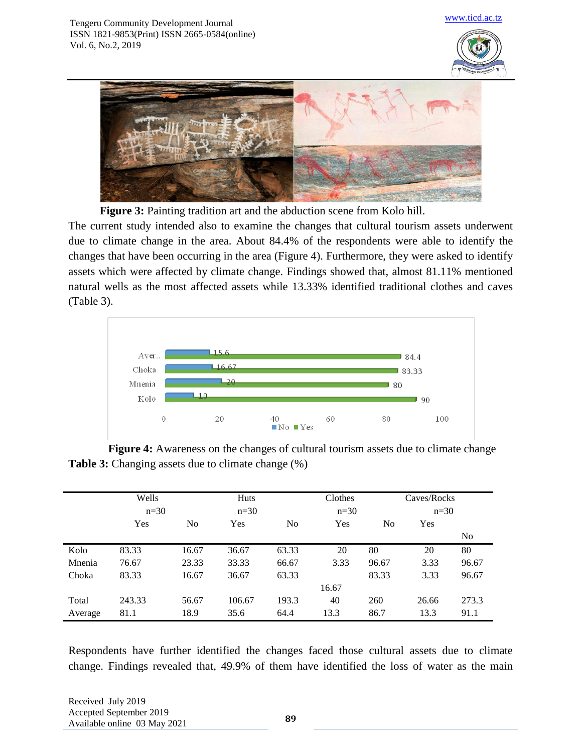



**Figure 3:** Painting tradition art and the abduction scene from Kolo hill.

The current study intended also to examine the changes that cultural tourism assets underwent due to climate change in the area. About 84.4% of the respondents were able to identify the changes that have been occurring in the area (Figure 4). Furthermore, they were asked to identify assets which were affected by climate change. Findings showed that, almost 81.11% mentioned natural wells as the most affected assets while 13.33% identified traditional clothes and caves (Table 3).



**Figure 4:** Awareness on the changes of cultural tourism assets due to climate change **Table 3:** Changing assets due to climate change  $(\%)$ 

|         | Wells<br>$n=30$ |                | Huts<br>$n=30$ |                | Clothes<br>$n=30$ |       | Caves/Rocks<br>$n=30$ |       |
|---------|-----------------|----------------|----------------|----------------|-------------------|-------|-----------------------|-------|
|         | Yes             | N <sub>0</sub> | Yes            | N <sub>0</sub> | Yes               | No    | Yes                   |       |
|         |                 |                |                |                |                   |       |                       | No    |
| Kolo    | 83.33           | 16.67          | 36.67          | 63.33          | 20                | 80    | 20                    | 80    |
| Mnenia  | 76.67           | 23.33          | 33.33          | 66.67          | 3.33              | 96.67 | 3.33                  | 96.67 |
| Choka   | 83.33           | 16.67          | 36.67          | 63.33          |                   | 83.33 | 3.33                  | 96.67 |
|         |                 |                |                |                | 16.67             |       |                       |       |
| Total   | 243.33          | 56.67          | 106.67         | 193.3          | 40                | 260   | 26.66                 | 273.3 |
| Average | 81.1            | 18.9           | 35.6           | 64.4           | 13.3              | 86.7  | 13.3                  | 91.1  |

Respondents have further identified the changes faced those cultural assets due to climate change. Findings revealed that, 49.9% of them have identified the loss of water as the main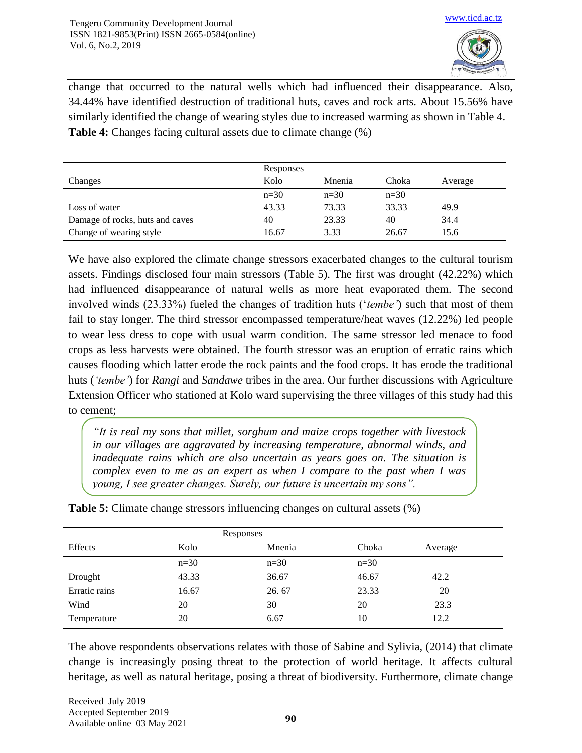

change that occurred to the natural wells which had influenced their disappearance. Also, 34.44% have identified destruction of traditional huts, caves and rock arts. About 15.56% have similarly identified the change of wearing styles due to increased warming as shown in Table 4. **Table 4:** Changes facing cultural assets due to climate change (%)

|                                 | Responses |        |        |         |
|---------------------------------|-----------|--------|--------|---------|
| Changes                         | Kolo      | Mnenia | Choka  | Average |
|                                 | $n=30$    | $n=30$ | $n=30$ |         |
| Loss of water                   | 43.33     | 73.33  | 33.33  | 49.9    |
| Damage of rocks, huts and caves | 40        | 23.33  | 40     | 34.4    |
| Change of wearing style         | 16.67     | 3.33   | 26.67  | 15.6    |

We have also explored the climate change stressors exacerbated changes to the cultural tourism assets. Findings disclosed four main stressors (Table 5). The first was drought (42.22%) which had influenced disappearance of natural wells as more heat evaporated them. The second involved winds (23.33%) fueled the changes of tradition huts ('*tembe'*) such that most of them fail to stay longer. The third stressor encompassed temperature/heat waves (12.22%) led people to wear less dress to cope with usual warm condition. The same stressor led menace to food crops as less harvests were obtained. The fourth stressor was an eruption of erratic rains which causes flooding which latter erode the rock paints and the food crops. It has erode the traditional huts (*'tembe'*) for *Rangi* and *Sandawe* tribes in the area. Our further discussions with Agriculture Extension Officer who stationed at Kolo ward supervising the three villages of this study had this to cement;

*"It is real my sons that millet, sorghum and maize crops together with livestock in our villages are aggravated by increasing temperature, abnormal winds, and inadequate rains which are also uncertain as years goes on. The situation is complex even to me as an expert as when I compare to the past when I was young, I see greater changes. Surely, our future is uncertain my sons".*

|               | Responses |        |        |         |
|---------------|-----------|--------|--------|---------|
| Effects       | Kolo      | Mnenia | Choka  | Average |
|               | $n=30$    | $n=30$ | $n=30$ |         |
| Drought       | 43.33     | 36.67  | 46.67  | 42.2    |
| Erratic rains | 16.67     | 26.67  | 23.33  | 20      |
| Wind          | 20        | 30     | 20     | 23.3    |
| Temperature   | 20        | 6.67   | 10     | 12.2    |

**Table 5:** Climate change stressors influencing changes on cultural assets (%)

The above respondents observations relates with those of Sabine and Sylivia, (2014) that climate change is increasingly posing threat to the protection of world heritage. It affects cultural heritage, as well as natural heritage, posing a threat of biodiversity. Furthermore, climate change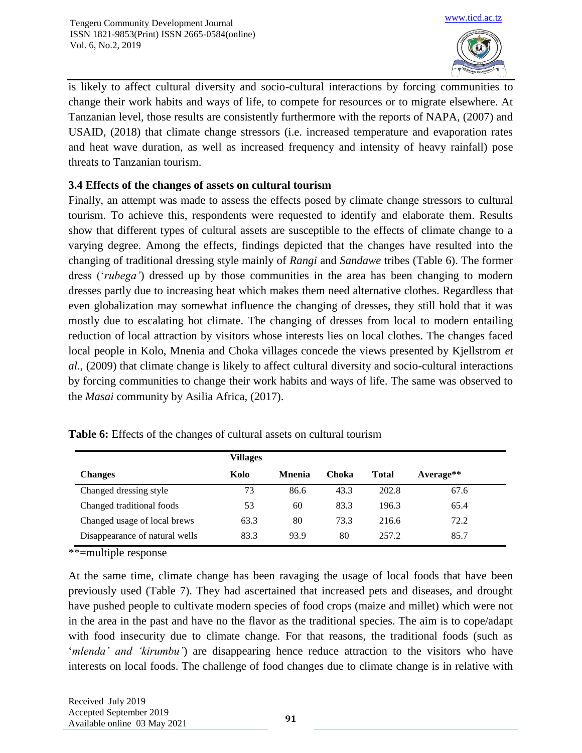

is likely to affect cultural diversity and socio-cultural interactions by forcing communities to change their work habits and ways of life, to compete for resources or to migrate elsewhere. At Tanzanian level, those results are consistently furthermore with the reports of NAPA, (2007) and USAID, (2018) that climate change stressors (i.e. increased temperature and evaporation rates and heat wave duration, as well as increased frequency and intensity of heavy rainfall) pose threats to Tanzanian tourism.

## **3.4 Effects of the changes of assets on cultural tourism**

Finally, an attempt was made to assess the effects posed by climate change stressors to cultural tourism. To achieve this, respondents were requested to identify and elaborate them. Results show that different types of cultural assets are susceptible to the effects of climate change to a varying degree. Among the effects, findings depicted that the changes have resulted into the changing of traditional dressing style mainly of *Rangi* and *Sandawe* tribes (Table 6). The former dress ('*rubega'*) dressed up by those communities in the area has been changing to modern dresses partly due to increasing heat which makes them need alternative clothes. Regardless that even globalization may somewhat influence the changing of dresses, they still hold that it was mostly due to escalating hot climate. The changing of dresses from local to modern entailing reduction of local attraction by visitors whose interests lies on local clothes. The changes faced local people in Kolo, Mnenia and Choka villages concede the views presented by Kjellstrom *et al.,* (2009) that climate change is likely to affect cultural diversity and socio-cultural interactions by forcing communities to change their work habits and ways of life. The same was observed to the *Masai* community by Asilia Africa, (2017).

|                                | <b>Villages</b> |                |       |              |             |
|--------------------------------|-----------------|----------------|-------|--------------|-------------|
| <b>Changes</b>                 | Kolo            | <b>M</b> nenia | Choka | <b>Total</b> | $Average**$ |
| Changed dressing style         | 73              | 86.6           | 43.3  | 202.8        | 67.6        |
| Changed traditional foods      | 53              | 60             | 83.3  | 196.3        | 65.4        |
| Changed usage of local brews   | 63.3            | 80             | 73.3  | 216.6        | 72.2        |
| Disappearance of natural wells | 83.3            | 93.9           | 80    | 257.2        | 85.7        |

**Table 6:** Effects of the changes of cultural assets on cultural tourism

\*\*=multiple response

At the same time, climate change has been ravaging the usage of local foods that have been previously used (Table 7). They had ascertained that increased pets and diseases, and drought have pushed people to cultivate modern species of food crops (maize and millet) which were not in the area in the past and have no the flavor as the traditional species. The aim is to cope/adapt with food insecurity due to climate change. For that reasons, the traditional foods (such as '*mlenda' and 'kirumbu'*) are disappearing hence reduce attraction to the visitors who have interests on local foods. The challenge of food changes due to climate change is in relative with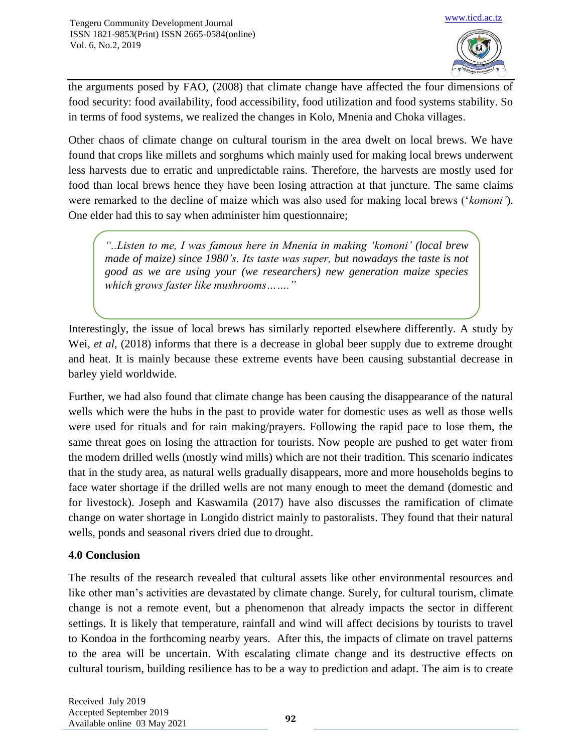

the arguments posed by FAO, (2008) that climate change have affected the four dimensions of food security: food availability, food accessibility, food utilization and food systems stability. So in terms of food systems, we realized the changes in Kolo, Mnenia and Choka villages.

Other chaos of climate change on cultural tourism in the area dwelt on local brews. We have found that crops like millets and sorghums which mainly used for making local brews underwent less harvests due to erratic and unpredictable rains. Therefore, the harvests are mostly used for food than local brews hence they have been losing attraction at that juncture. The same claims were remarked to the decline of maize which was also used for making local brews ('*komoni'*). One elder had this to say when administer him questionnaire;

*"..Listen to me, I was famous here in Mnenia in making 'komoni' (local brew made of maize) since 1980's. Its taste was super, but nowadays the taste is not good as we are using your (we researchers) new generation maize species which grows faster like mushrooms……."*

Interestingly, the issue of local brews has similarly reported elsewhere differently. A study by Wei, *et al*, (2018) informs that there is a decrease in global beer supply due to extreme drought and heat. It is mainly because these extreme events have been causing substantial decrease in barley yield worldwide.

Further, we had also found that climate change has been causing the disappearance of the natural wells which were the hubs in the past to provide water for domestic uses as well as those wells were used for rituals and for rain making/prayers. Following the rapid pace to lose them, the same threat goes on losing the attraction for tourists. Now people are pushed to get water from the modern drilled wells (mostly wind mills) which are not their tradition. This scenario indicates that in the study area, as natural wells gradually disappears, more and more households begins to face water shortage if the drilled wells are not many enough to meet the demand (domestic and for livestock). Joseph and Kaswamila (2017) have also discusses the ramification of climate change on water shortage in Longido district mainly to pastoralists. They found that their natural wells, ponds and seasonal rivers dried due to drought.

## **4.0 Conclusion**

The results of the research revealed that cultural assets like other environmental resources and like other man's activities are devastated by climate change. Surely, for cultural tourism, climate change is not a remote event, but a phenomenon that already impacts the sector in different settings. It is likely that temperature, rainfall and wind will affect decisions by tourists to travel to Kondoa in the forthcoming nearby years. After this, the impacts of climate on travel patterns to the area will be uncertain. With escalating climate change and its destructive effects on cultural tourism, building resilience has to be a way to prediction and adapt. The aim is to create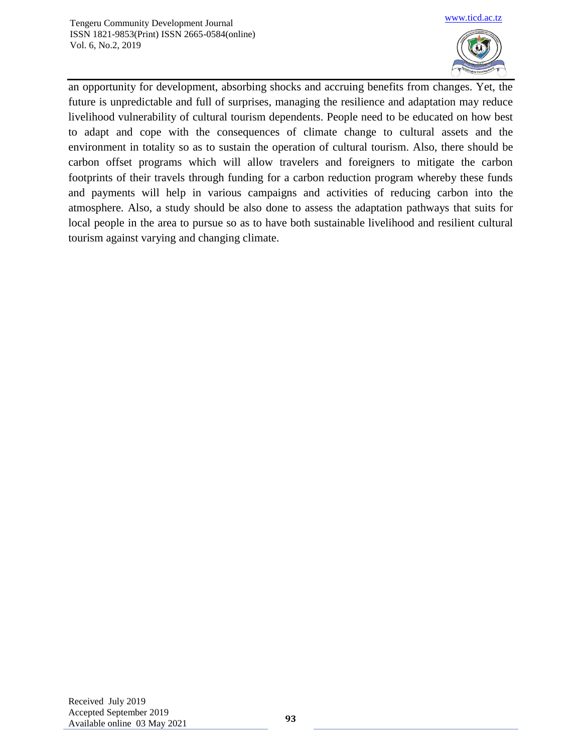

an opportunity for development, absorbing shocks and accruing benefits from changes. Yet, the future is unpredictable and full of surprises, managing the resilience and adaptation may reduce livelihood vulnerability of cultural tourism dependents. People need to be educated on how best to adapt and cope with the consequences of climate change to cultural assets and the environment in totality so as to sustain the operation of cultural tourism. Also, there should be carbon offset programs which will allow travelers and foreigners to mitigate the carbon footprints of their travels through funding for a carbon reduction program whereby these funds and payments will help in various campaigns and activities of reducing carbon into the atmosphere. Also, a study should be also done to assess the adaptation pathways that suits for local people in the area to pursue so as to have both sustainable livelihood and resilient cultural tourism against varying and changing climate.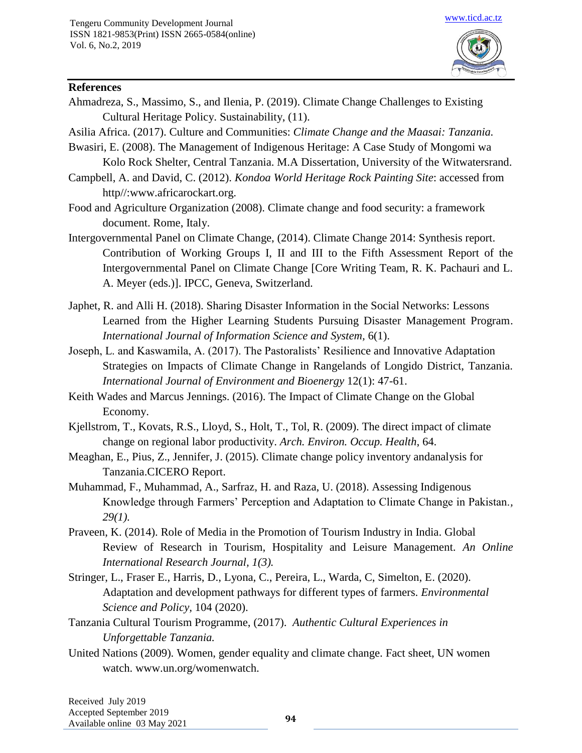

#### **References**

- Ahmadreza, S., Massimo, S., and Ilenia, P. (2019). Climate Change Challenges to Existing Cultural Heritage Policy. Sustainability, (11).
- Asilia Africa. (2017). Culture and Communities: *Climate Change and the Maasai: Tanzania.*
- Bwasiri, E. (2008). The Management of Indigenous Heritage: A Case Study of Mongomi wa Kolo Rock Shelter, Central Tanzania. M.A Dissertation, University of the Witwatersrand.
- Campbell, A. and David, C. (2012). *Kondoa World Heritage Rock Painting Site*: accessed from http//:www.africarockart.org.
- Food and Agriculture Organization (2008). Climate change and food security: a framework document. Rome, Italy.
- Intergovernmental Panel on Climate Change, (2014). Climate Change 2014: Synthesis report. Contribution of Working Groups I, II and III to the Fifth Assessment Report of the Intergovernmental Panel on Climate Change [Core Writing Team, R. K. Pachauri and L. A. Meyer (eds.)]. IPCC, Geneva, Switzerland.
- Japhet, R. and Alli H. (2018). Sharing Disaster Information in the Social Networks: Lessons Learned from the Higher Learning Students Pursuing Disaster Management Program. *International Journal of Information Science and System,* 6(1).
- Joseph, L. and Kaswamila, A. (2017). The Pastoralists' Resilience and Innovative Adaptation Strategies on Impacts of Climate Change in Rangelands of Longido District, Tanzania. *International Journal of Environment and Bioenergy* 12(1): 47-61.
- Keith Wades and Marcus Jennings. (2016). The Impact of Climate Change on the Global Economy.
- Kjellstrom, T., Kovats, R.S., Lloyd, S., Holt, T., Tol, R. (2009). The direct impact of climate change on regional labor productivity. *Arch. Environ. Occup. Health*, 64.
- Meaghan, E., Pius, Z., Jennifer, J. (2015). Climate change policy inventory andanalysis for Tanzania.CICERO Report.
- Muhammad, F., Muhammad, A., Sarfraz, H. and Raza, U. (2018). Assessing Indigenous Knowledge through Farmers' Perception and Adaptation to Climate Change in Pakistan.*, 29(1).*
- Praveen, K. (2014). Role of Media in the Promotion of Tourism Industry in India. Global Review of Research in Tourism, Hospitality and Leisure Management. *An Online International Research Journal, 1(3).*
- Stringer, L., Fraser E., Harris, D., Lyona, C., Pereira, L., Warda, C, Simelton, E. (2020). Adaptation and development pathways for different types of farmers. *Environmental Science and Policy,* 104 (2020).
- Tanzania Cultural Tourism Programme, (2017). *Authentic Cultural Experiences in Unforgettable Tanzania.*
- United Nations (2009). Women, gender equality and climate change. Fact sheet, UN women watch. www.un.org/womenwatch.